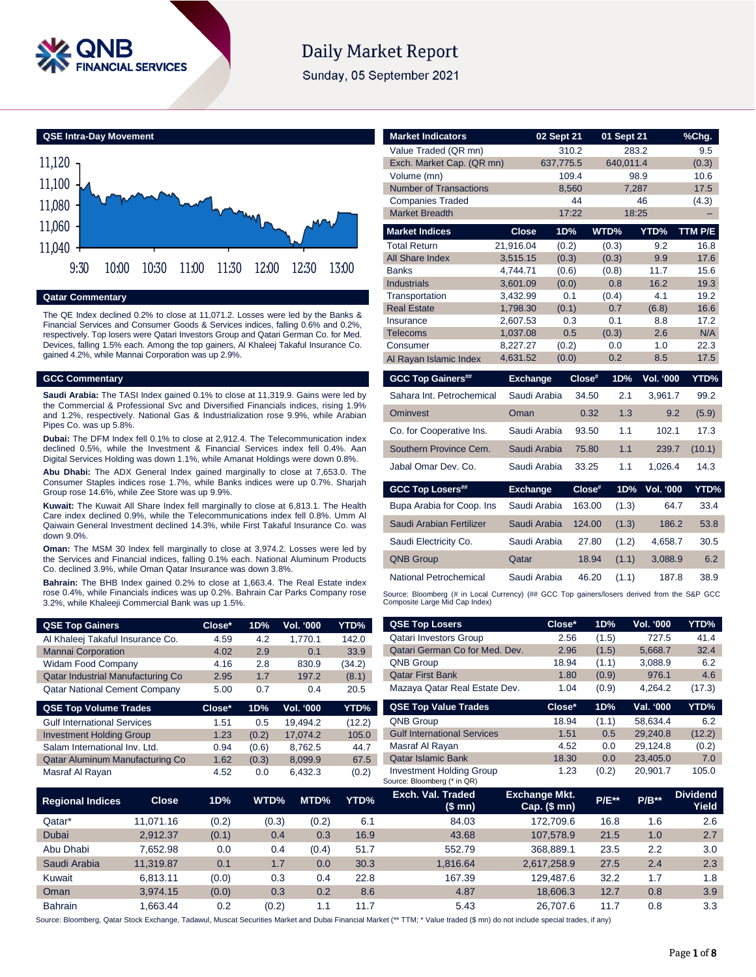

# **Daily Market Report**

Sunday, 05 September 2021

**QSE Intra-Day Movement**



**Qatar Commentary**

The QE Index declined 0.2% to close at 11,071.2. Losses were led by the Banks & Financial Services and Consumer Goods & Services indices, falling 0.6% and 0.2%, respectively. Top losers were Qatari Investors Group and Qatari German Co. for Med. Devices, falling 1.5% each. Among the top gainers, Al Khaleej Takaful Insurance Co. gained 4.2%, while Mannai Corporation was up 2.9%.

### **GCC Commentary**

**Saudi Arabia:** The TASI Index gained 0.1% to close at 11,319.9. Gains were led by the Commercial & Professional Svc and Diversified Financials indices, rising 1.9% and 1.2%, respectively. National Gas & Industrialization rose 9.9%, while Arabian Pipes Co. was up 5.8%.

**Dubai:** The DFM Index fell 0.1% to close at 2,912.4. The Telecommunication index declined 0.5%, while the Investment & Financial Services index fell 0.4%. Aan Digital Services Holding was down 1.1%, while Amanat Holdings were down 0.8%.

**Abu Dhabi:** The ADX General Index gained marginally to close at 7,653.0. The Consumer Staples indices rose 1.7%, while Banks indices were up 0.7%. Sharjah Group rose 14.6%, while Zee Store was up 9.9%.

**Kuwait:** The Kuwait All Share Index fell marginally to close at 6,813.1. The Health Care index declined 0.9%, while the Telecommunications index fell 0.8%. Umm Al Qaiwain General Investment declined 14.3%, while First Takaful Insurance Co. was down 9.0%.

**Oman:** The MSM 30 Index fell marginally to close at 3,974.2. Losses were led by the Services and Financial indices, falling 0.1% each. National Aluminum Products Co. declined 3.9%, while Oman Qatar Insurance was down 3.8%.

**Bahrain:** The BHB Index gained 0.2% to close at 1,663.4. The Real Estate index rose 0.4%, while Financials indices was up 0.2%. Bahrain Car Parks Company rose 3.2%, while Khaleeji Commercial Bank was up 1.5%.

| <b>QSE Top Gainers</b>                   | Close* | 1D% | <b>Vol. '000</b> | YTD%   |
|------------------------------------------|--------|-----|------------------|--------|
| Al Khaleej Takaful Insurance Co.         | 4.59   | 4.2 | 1.770.1          | 142.0  |
| <b>Mannai Corporation</b>                | 4.02   | 2.9 | 0.1              | 33.9   |
| <b>Widam Food Company</b>                | 4.16   | 2.8 | 830.9            | (34.2) |
| <b>Qatar Industrial Manufacturing Co</b> | 2.95   | 1.7 | 197.2            | (8.1)  |
| <b>Qatar National Cement Company</b>     | 5.00   | 0.7 | 0.4              | 20.5   |

| <b>QSE Top Volume Trades</b>       | Close* | 1D%   | Vol. '000 | YTD%   |
|------------------------------------|--------|-------|-----------|--------|
| <b>Gulf International Services</b> | 1.51   | 0.5   | 19.494.2  | (12.2) |
| <b>Investment Holding Group</b>    | 1.23   | (0.2) | 17.074.2  | 105.0  |
| Salam International Inv. Ltd.      | 0.94   | (0.6) | 8,762.5   | 44.7   |
| Qatar Aluminum Manufacturing Co    | 1.62   | (0.3) | 8,099.9   | 67.5   |
| Masraf Al Rayan                    | 4.52   | 0.0   | 6.432.3   | (0.2)  |

| <b>Market Indicators</b>                                                                                                      |                      | 02 Sept 21   |        | 01 Sept 21   |                  | %Chq.        |
|-------------------------------------------------------------------------------------------------------------------------------|----------------------|--------------|--------|--------------|------------------|--------------|
| Value Traded (QR mn)                                                                                                          |                      |              | 310.2  | 283.2        |                  | 9.5          |
| Exch. Market Cap. (QR mn)                                                                                                     |                      | 637,775.5    |        | 640,011.4    |                  | (0.3)        |
| Volume (mn)                                                                                                                   |                      |              | 109.4  |              | 98.9             | 10.6         |
| <b>Number of Transactions</b>                                                                                                 |                      |              | 8,560  | 7,287        |                  | 17.5         |
| <b>Companies Traded</b>                                                                                                       |                      |              | 44     |              | 46               | (4.3)        |
| <b>Market Breadth</b>                                                                                                         |                      |              | 17:22  | 18:25        |                  |              |
| <b>Market Indices</b>                                                                                                         | <b>Close</b>         | 1D%          |        | WTD%         | YTD%             | TTM P/E      |
| <b>Total Return</b>                                                                                                           | 21,916.04            | (0.2)        |        | (0.3)        | 9.2              | 16.8         |
| <b>All Share Index</b>                                                                                                        | 3,515.15             | (0.3)        |        | (0.3)        | 9.9              | 17.6         |
| <b>Banks</b>                                                                                                                  | 4,744.71             | (0.6)        |        | (0.8)        | 11.7             | 15.6         |
| <b>Industrials</b>                                                                                                            | 3,601.09             | (0.0)        |        | 0.8          | 16.2             | 19.3         |
| Transportation<br><b>Real Estate</b>                                                                                          | 3,432.99<br>1,798.30 | (0.1)        | 0.1    | (0.4)<br>0.7 | 4.1<br>(6.8)     | 19.2<br>16.6 |
| Insurance                                                                                                                     | 2,607.53             |              | 0.3    | 0.1          | 8.8              | 17.2         |
| <b>Telecoms</b>                                                                                                               | 1,037.08             |              | 0.5    | (0.3)        | 2.6              | N/A          |
| Consumer                                                                                                                      | 8,227.27             | (0.2)        |        | 0.0          | 1.0              | 22.3         |
| Al Rayan Islamic Index                                                                                                        | 4,631.52             | (0.0)        |        | 0.2          | 8.5              | 17.5         |
| <b>GCC Top Gainers##</b>                                                                                                      | <b>Exchange</b>      |              | Close# | 1D%          | <b>Vol. '000</b> | YTD%         |
| Sahara Int. Petrochemical                                                                                                     |                      | Saudi Arabia | 34.50  | 2.1          | 3,961.7          | 99.2         |
| Ominyest                                                                                                                      | Oman                 |              | 0.32   | 1.3          | 9.2              | (5.9)        |
| Co. for Cooperative Ins.                                                                                                      | Saudi Arabia         |              | 93.50  | 1.1          | 102.1            | 17.3         |
| Southern Province Cem.                                                                                                        | Saudi Arabia         |              | 75.80  | 1.1          | 239.7            | (10.1)       |
| Jabal Omar Dev. Co.                                                                                                           |                      | Saudi Arabia | 33.25  | 1.1          | 1,026.4          | 14.3         |
| <b>GCC Top Losers##</b>                                                                                                       | <b>Exchange</b>      |              | Close# | 1D%          | <b>Vol. '000</b> | YTD%         |
| Bupa Arabia for Coop. Ins                                                                                                     | Saudi Arabia         |              | 163.00 | (1.3)        | 64.7             | 33.4         |
| Saudi Arabian Fertilizer                                                                                                      |                      | Saudi Arabia | 124.00 | (1.3)        | 186.2            | 53.8         |
| Saudi Electricity Co.                                                                                                         |                      | Saudi Arabia | 27.80  | (1.2)        | 4,658.7          | 30.5         |
| <b>QNB Group</b>                                                                                                              | Qatar                |              | 18.94  | (1.1)        | 3,088.9          | 6.2          |
| National Petrochemical                                                                                                        |                      | Saudi Arabia | 46.20  | (1.1)        | 187.8            | 38.9         |
| Source: Bloomberg (# in Local Currency) (## GCC Top gainers/losers derived from the S&P GCC<br>Composite Large Mid Cap Index) |                      |              |        |              |                  |              |

| <b>QSE Top Losers</b>                                          | $Close*$      | 1D%     | $\overline{\text{Vol.}}$ '000 | YTD%            |
|----------------------------------------------------------------|---------------|---------|-------------------------------|-----------------|
| <b>Qatari Investors Group</b>                                  | 2.56          | (1.5)   | 727.5                         | 41.4            |
| Qatari German Co for Med. Dev.                                 | 2.96          | (1.5)   | 5,668.7                       | 32.4            |
| <b>QNB Group</b>                                               | 18.94         | (1.1)   | 3,088.9                       | 6.2             |
| <b>Qatar First Bank</b>                                        | 1.80          | (0.9)   | 976.1                         | 4.6             |
| Mazaya Qatar Real Estate Dev.                                  | 1.04          | (0.9)   | 4.264.2                       | (17.3)          |
| <b>QSE Top Value Trades</b>                                    | Close*        | 1D%     | Val. '000                     | YTD%            |
| <b>QNB Group</b>                                               | 18.94         | (1.1)   | 58.634.4                      | 6.2             |
| <b>Gulf International Services</b>                             | 1.51          | 0.5     | 29.240.8                      | (12.2)          |
| Masraf Al Rayan                                                | 4.52          | 0.0     | 29.124.8                      | (0.2)           |
| <b>Qatar Islamic Bank</b>                                      | 18.30         | 0.0     | 23.405.0                      | 7.0             |
| <b>Investment Holding Group</b><br>Source: Bloomberg (* in QR) | 1.23          | (0.2)   | 20,901.7                      | 105.0           |
| Exch. Val. Traded                                              | Exchange Mkt. | $DIE**$ | <b>D/D**</b>                  | <b>Dividend</b> |

| <b>Regional Indices</b> | <b>Close</b> | 1D%   | WTD%  | MTD%  | YTD% | Exch. Val. Traded<br>(\$ mn) | <b>Exchange Mkt.</b><br>Cap. $($mn)$ | <b>P/E**</b> | $P/B**$          | <b>Dividend</b><br>Yield |
|-------------------------|--------------|-------|-------|-------|------|------------------------------|--------------------------------------|--------------|------------------|--------------------------|
| Qatar*                  | 11.071.16    | (0.2) | (0.3) | (0.2) | 6.1  | 84.03                        | 172.709.6                            | 16.8         | 1.6              | 2.6                      |
| <b>Dubai</b>            | 2.912.37     | (0.1) | 0.4   | 0.3   | 16.9 | 43.68                        | 107.578.9                            | 21.5         | 1.0              | 2.7                      |
| Abu Dhabi               | 7.652.98     | 0.0   | 0.4   | (0.4) | 51.7 | 552.79                       | 368,889.1                            | 23.5         | $2.2\phantom{0}$ | 3.0                      |
| Saudi Arabia            | 11.319.87    | 0.1   | 1.7   | 0.0   | 30.3 | 1.816.64                     | 2.617.258.9                          | 27.5         | 2.4              | 2.3                      |
| Kuwait                  | 6.813.11     | (0.0) | 0.3   | 0.4   | 22.8 | 167.39                       | 129.487.6                            | 32.2         | 1.7              | 1.8                      |
| Oman                    | 3.974.15     | (0.0) | 0.3   | 0.2   | 8.6  | 4.87                         | 18,606.3                             | 12.7         | 0.8              | 3.9                      |
| <b>Bahrain</b>          | .663.44      | 0.2   | (0.2) | 1.1   | 11.7 | 5.43                         | 26.707.6                             | 11.7         | 0.8              | 3.3                      |

Source: Bloomberg, Qatar Stock Exchange, Tadawul, Muscat Securities Market and Dubai Financial Market (\*\* TTM; \* Value traded (\$ mn) do not include special trades, if any)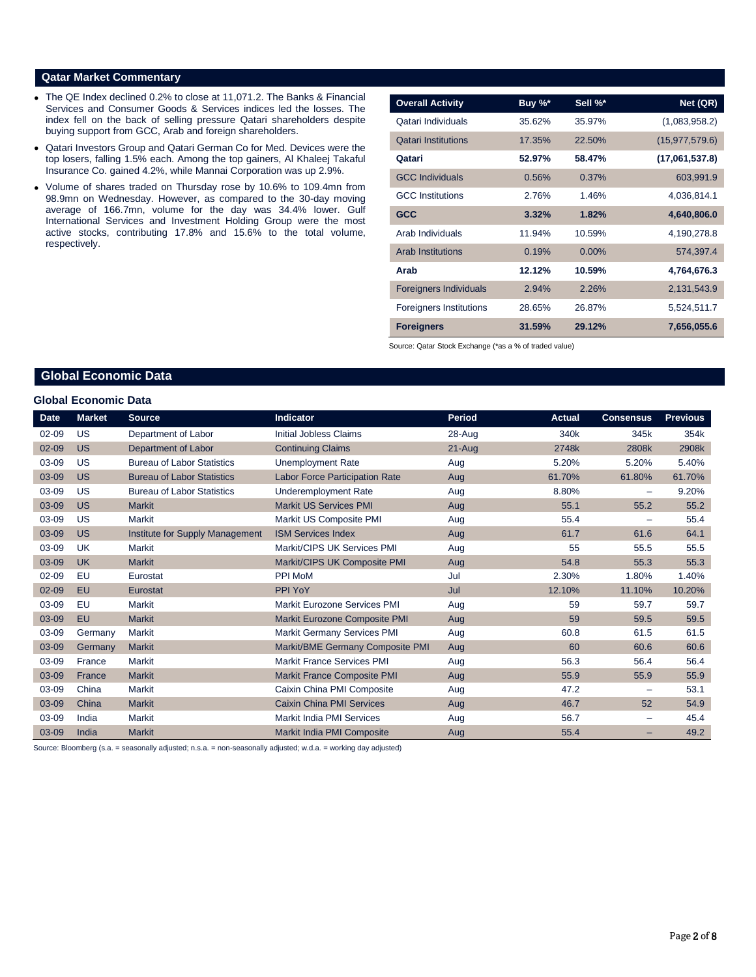### **Qatar Market Commentary**

- The QE Index declined 0.2% to close at 11,071.2. The Banks & Financial Services and Consumer Goods & Services indices led the losses. The index fell on the back of selling pressure Qatari shareholders despite buying support from GCC, Arab and foreign shareholders.
- Qatari Investors Group and Qatari German Co for Med. Devices were the top losers, falling 1.5% each. Among the top gainers, Al Khaleej Takaful Insurance Co. gained 4.2%, while Mannai Corporation was up 2.9%.
- Volume of shares traded on Thursday rose by 10.6% to 109.4mn from 98.9mn on Wednesday. However, as compared to the 30-day moving average of 166.7mn, volume for the day was 34.4% lower. Gulf International Services and Investment Holding Group were the most active stocks, contributing 17.8% and 15.6% to the total volume, respectively.

| <b>Overall Activity</b>        | Buy $\%^*$ | Sell %*  | Net (QR)         |
|--------------------------------|------------|----------|------------------|
| Qatari Individuals             | 35.62%     | 35.97%   | (1,083,958.2)    |
| <b>Qatari Institutions</b>     | 17.35%     | 22.50%   | (15, 977, 579.6) |
| Qatari                         | 52.97%     | 58.47%   | (17,061,537.8)   |
| <b>GCC Individuals</b>         | 0.56%      | 0.37%    | 603,991.9        |
| <b>GCC</b> Institutions        | 2.76%      | 1.46%    | 4,036,814.1      |
| <b>GCC</b>                     | 3.32%      | 1.82%    | 4,640,806.0      |
| Arab Individuals               | 11.94%     | 10.59%   | 4,190,278.8      |
| <b>Arab Institutions</b>       | 0.19%      | $0.00\%$ | 574,397.4        |
| Arab                           | 12.12%     | 10.59%   | 4,764,676.3      |
| <b>Foreigners Individuals</b>  | 2.94%      | 2.26%    | 2,131,543.9      |
| <b>Foreigners Institutions</b> | 28.65%     | 26.87%   | 5,524,511.7      |
| <b>Foreigners</b>              | 31.59%     | 29.12%   | 7,656,055.6      |

Source: Qatar Stock Exchange (\*as a % of traded value)

## **Global Economic Data**

#### **Global Economic Data**

| <b>Date</b> | <b>Market</b> | <b>Source</b>                     | Indicator                             | Period   | <b>Actual</b> | <b>Consensus</b> | <b>Previous</b> |
|-------------|---------------|-----------------------------------|---------------------------------------|----------|---------------|------------------|-----------------|
| $02 - 09$   | US            | Department of Labor               | <b>Initial Jobless Claims</b>         | 28-Aug   | 340k          | 345k             | 354k            |
| $02 - 09$   | <b>US</b>     | Department of Labor               | <b>Continuing Claims</b>              | $21-Aug$ | 2748k         | 2808k            | 2908k           |
| 03-09       | US            | <b>Bureau of Labor Statistics</b> | Unemployment Rate                     | Aug      | 5.20%         | 5.20%            | 5.40%           |
| 03-09       | <b>US</b>     | <b>Bureau of Labor Statistics</b> | <b>Labor Force Participation Rate</b> | Aug      | 61.70%        | 61.80%           | 61.70%          |
| 03-09       | US            | <b>Bureau of Labor Statistics</b> | Underemployment Rate                  | Aug      | 8.80%         | -                | 9.20%           |
| 03-09       | <b>US</b>     | <b>Markit</b>                     | <b>Markit US Services PMI</b>         | Aug      | 55.1          | 55.2             | 55.2            |
| 03-09       | US            | Markit                            | Markit US Composite PMI               | Aug      | 55.4          |                  | 55.4            |
| 03-09       | <b>US</b>     | Institute for Supply Management   | <b>ISM Services Index</b>             | Aug      | 61.7          | 61.6             | 64.1            |
| 03-09       | <b>UK</b>     | Markit                            | Markit/CIPS UK Services PMI           | Aug      | 55            | 55.5             | 55.5            |
| 03-09       | <b>UK</b>     | <b>Markit</b>                     | Markit/CIPS UK Composite PMI          | Aug      | 54.8          | 55.3             | 55.3            |
| $02 - 09$   | EU            | Eurostat                          | <b>PPI MoM</b>                        | Jul      | 2.30%         | 1.80%            | 1.40%           |
| 02-09       | EU            | Eurostat                          | <b>PPI YoY</b>                        | Jul      | 12.10%        | 11.10%           | 10.20%          |
| 03-09       | EU            | <b>Markit</b>                     | <b>Markit Eurozone Services PMI</b>   | Aug      | 59            | 59.7             | 59.7            |
| 03-09       | EU            | <b>Markit</b>                     | Markit Eurozone Composite PMI         | Aug      | 59            | 59.5             | 59.5            |
| 03-09       | Germany       | Markit                            | <b>Markit Germany Services PMI</b>    | Aug      | 60.8          | 61.5             | 61.5            |
| 03-09       | Germany       | <b>Markit</b>                     | Markit/BME Germany Composite PMI      | Aug      | 60            | 60.6             | 60.6            |
| 03-09       | France        | Markit                            | <b>Markit France Services PMI</b>     | Aug      | 56.3          | 56.4             | 56.4            |
| 03-09       | France        | <b>Markit</b>                     | Markit France Composite PMI           | Aug      | 55.9          | 55.9             | 55.9            |
| 03-09       | China         | <b>Markit</b>                     | Caixin China PMI Composite            | Aug      | 47.2          |                  | 53.1            |
| 03-09       | China         | <b>Markit</b>                     | <b>Caixin China PMI Services</b>      | Aug      | 46.7          | 52               | 54.9            |
| 03-09       | India         | Markit                            | Markit India PMI Services             | Aug      | 56.7          | -                | 45.4            |
| 03-09       | India         | <b>Markit</b>                     | Markit India PMI Composite            | Aug      | 55.4          | -                | 49.2            |

Source: Bloomberg (s.a. = seasonally adjusted; n.s.a. = non-seasonally adjusted; w.d.a. = working day adjusted)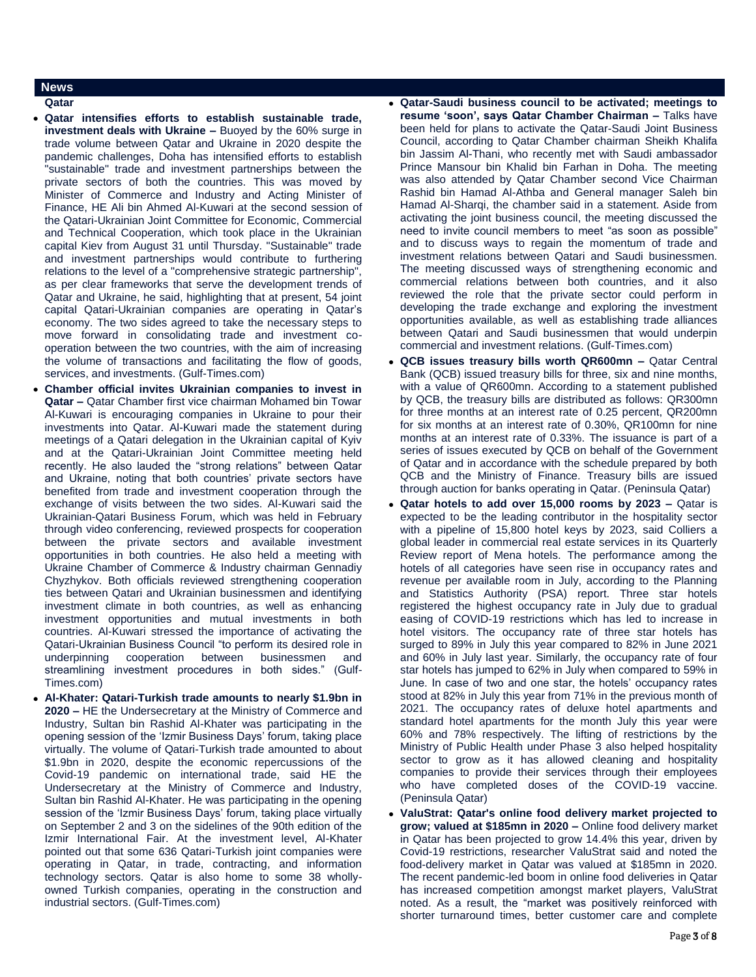## **News**

- **Qatar**
- **Qatar intensifies efforts to establish sustainable trade, investment deals with Ukraine –** Buoyed by the 60% surge in trade volume between Qatar and Ukraine in 2020 despite the pandemic challenges, Doha has intensified efforts to establish "sustainable" trade and investment partnerships between the private sectors of both the countries. This was moved by Minister of Commerce and Industry and Acting Minister of Finance, HE Ali bin Ahmed Al-Kuwari at the second session of the Qatari-Ukrainian Joint Committee for Economic, Commercial and Technical Cooperation, which took place in the Ukrainian capital Kiev from August 31 until Thursday. "Sustainable" trade and investment partnerships would contribute to furthering relations to the level of a "comprehensive strategic partnership", as per clear frameworks that serve the development trends of Qatar and Ukraine, he said, highlighting that at present, 54 joint capital Qatari-Ukrainian companies are operating in Qatar's economy. The two sides agreed to take the necessary steps to move forward in consolidating trade and investment cooperation between the two countries, with the aim of increasing the volume of transactions and facilitating the flow of goods, services, and investments. (Gulf-Times.com)
- **Chamber official invites Ukrainian companies to invest in Qatar –** Qatar Chamber first vice chairman Mohamed bin Towar Al-Kuwari is encouraging companies in Ukraine to pour their investments into Qatar. Al-Kuwari made the statement during meetings of a Qatari delegation in the Ukrainian capital of Kyiv and at the Qatari-Ukrainian Joint Committee meeting held recently. He also lauded the "strong relations" between Qatar and Ukraine, noting that both countries' private sectors have benefited from trade and investment cooperation through the exchange of visits between the two sides. Al-Kuwari said the Ukrainian-Qatari Business Forum, which was held in February through video conferencing, reviewed prospects for cooperation between the private sectors and available investment opportunities in both countries. He also held a meeting with Ukraine Chamber of Commerce & Industry chairman Gennadiy Chyzhykov. Both officials reviewed strengthening cooperation ties between Qatari and Ukrainian businessmen and identifying investment climate in both countries, as well as enhancing investment opportunities and mutual investments in both countries. Al-Kuwari stressed the importance of activating the Qatari-Ukrainian Business Council "to perform its desired role in underpinning cooperation between businessmen and streamlining investment procedures in both sides." (Gulf-Times.com)
- **Al-Khater: Qatari-Turkish trade amounts to nearly \$1.9bn in 2020 –** HE the Undersecretary at the Ministry of Commerce and Industry, Sultan bin Rashid Al-Khater was participating in the opening session of the 'Izmir Business Days' forum, taking place virtually. The volume of Qatari-Turkish trade amounted to about \$1.9bn in 2020, despite the economic repercussions of the Covid-19 pandemic on international trade, said HE the Undersecretary at the Ministry of Commerce and Industry, Sultan bin Rashid Al-Khater. He was participating in the opening session of the 'Izmir Business Days' forum, taking place virtually on September 2 and 3 on the sidelines of the 90th edition of the Izmir International Fair. At the investment level, Al-Khater pointed out that some 636 Qatari-Turkish joint companies were operating in Qatar, in trade, contracting, and information technology sectors. Qatar is also home to some 38 whollyowned Turkish companies, operating in the construction and industrial sectors. (Gulf-Times.com)
- **Qatar-Saudi business council to be activated; meetings to resume 'soon', says Qatar Chamber Chairman –** Talks have been held for plans to activate the Qatar-Saudi Joint Business Council, according to Qatar Chamber chairman Sheikh Khalifa bin Jassim Al-Thani, who recently met with Saudi ambassador Prince Mansour bin Khalid bin Farhan in Doha. The meeting was also attended by Qatar Chamber second Vice Chairman Rashid bin Hamad Al-Athba and General manager Saleh bin Hamad Al-Sharqi, the chamber said in a statement. Aside from activating the joint business council, the meeting discussed the need to invite council members to meet "as soon as possible" and to discuss ways to regain the momentum of trade and investment relations between Qatari and Saudi businessmen. The meeting discussed ways of strengthening economic and commercial relations between both countries, and it also reviewed the role that the private sector could perform in developing the trade exchange and exploring the investment opportunities available, as well as establishing trade alliances between Qatari and Saudi businessmen that would underpin commercial and investment relations. (Gulf-Times.com)
- **QCB issues treasury bills worth QR600mn –** Qatar Central Bank (QCB) issued treasury bills for three, six and nine months, with a value of QR600mn. According to a statement published by QCB, the treasury bills are distributed as follows: QR300mn for three months at an interest rate of 0.25 percent, QR200mn for six months at an interest rate of 0.30%, QR100mn for nine months at an interest rate of 0.33%. The issuance is part of a series of issues executed by QCB on behalf of the Government of Qatar and in accordance with the schedule prepared by both QCB and the Ministry of Finance. Treasury bills are issued through auction for banks operating in Qatar. (Peninsula Qatar)
- **Qatar hotels to add over 15,000 rooms by 2023 –** Qatar is expected to be the leading contributor in the hospitality sector with a pipeline of 15,800 hotel keys by 2023, said Colliers a global leader in commercial real estate services in its Quarterly Review report of Mena hotels. The performance among the hotels of all categories have seen rise in occupancy rates and revenue per available room in July, according to the Planning and Statistics Authority (PSA) report. Three star hotels registered the highest occupancy rate in July due to gradual easing of COVID-19 restrictions which has led to increase in hotel visitors. The occupancy rate of three star hotels has surged to 89% in July this year compared to 82% in June 2021 and 60% in July last year. Similarly, the occupancy rate of four star hotels has jumped to 62% in July when compared to 59% in June. In case of two and one star, the hotels' occupancy rates stood at 82% in July this year from 71% in the previous month of 2021. The occupancy rates of deluxe hotel apartments and standard hotel apartments for the month July this year were 60% and 78% respectively. The lifting of restrictions by the Ministry of Public Health under Phase 3 also helped hospitality sector to grow as it has allowed cleaning and hospitality companies to provide their services through their employees who have completed doses of the COVID-19 vaccine. (Peninsula Qatar)
- **ValuStrat: Qatar's online food delivery market projected to grow; valued at \$185mn in 2020 –** Online food delivery market in Qatar has been projected to grow 14.4% this year, driven by Covid-19 restrictions, researcher ValuStrat said and noted the food-delivery market in Qatar was valued at \$185mn in 2020. The recent pandemic-led boom in online food deliveries in Qatar has increased competition amongst market players, ValuStrat noted. As a result, the "market was positively reinforced with shorter turnaround times, better customer care and complete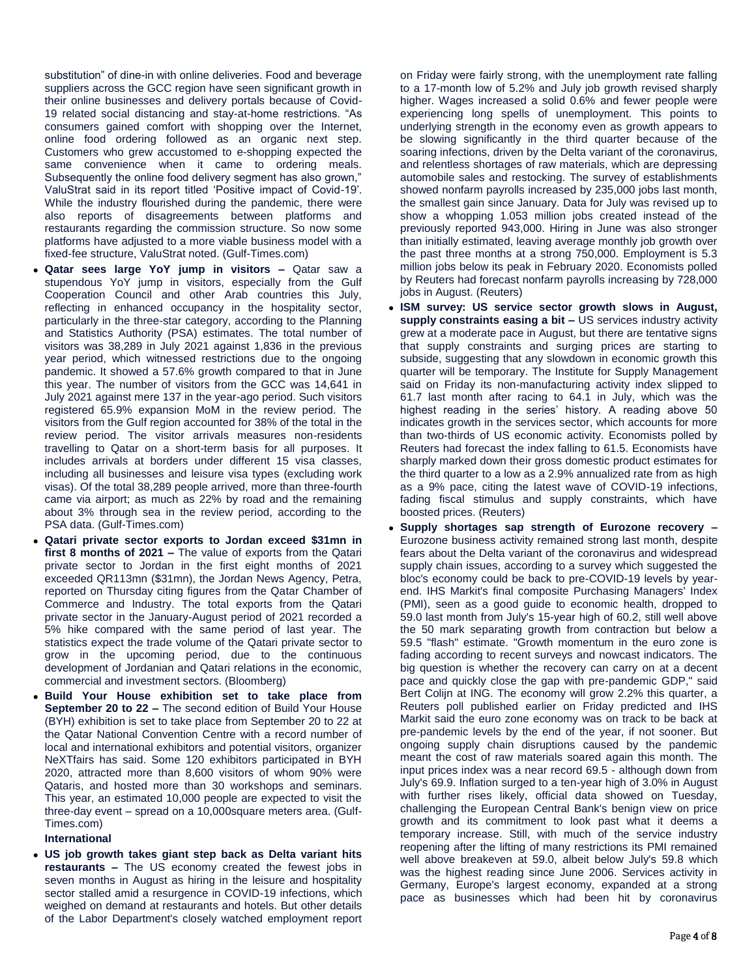substitution" of dine-in with online deliveries. Food and beverage suppliers across the GCC region have seen significant growth in their online businesses and delivery portals because of Covid-19 related social distancing and stay-at-home restrictions. "As consumers gained comfort with shopping over the Internet, online food ordering followed as an organic next step. Customers who grew accustomed to e-shopping expected the same convenience when it came to ordering meals. Subsequently the online food delivery segment has also grown," ValuStrat said in its report titled 'Positive impact of Covid-19'. While the industry flourished during the pandemic, there were also reports of disagreements between platforms and restaurants regarding the commission structure. So now some platforms have adjusted to a more viable business model with a fixed-fee structure, ValuStrat noted. (Gulf-Times.com)

- **Qatar sees large YoY jump in visitors –** Qatar saw a stupendous YoY jump in visitors, especially from the Gulf Cooperation Council and other Arab countries this July, reflecting in enhanced occupancy in the hospitality sector, particularly in the three-star category, according to the Planning and Statistics Authority (PSA) estimates. The total number of visitors was 38,289 in July 2021 against 1,836 in the previous year period, which witnessed restrictions due to the ongoing pandemic. It showed a 57.6% growth compared to that in June this year. The number of visitors from the GCC was 14,641 in July 2021 against mere 137 in the year-ago period. Such visitors registered 65.9% expansion MoM in the review period. The visitors from the Gulf region accounted for 38% of the total in the review period. The visitor arrivals measures non-residents travelling to Qatar on a short-term basis for all purposes. It includes arrivals at borders under different 15 visa classes, including all businesses and leisure visa types (excluding work visas). Of the total 38,289 people arrived, more than three-fourth came via airport; as much as 22% by road and the remaining about 3% through sea in the review period, according to the PSA data. (Gulf-Times.com)
- **Qatari private sector exports to Jordan exceed \$31mn in first 8 months of 2021 –** The value of exports from the Qatari private sector to Jordan in the first eight months of 2021 exceeded QR113mn (\$31mn), the Jordan News Agency, Petra, reported on Thursday citing figures from the Qatar Chamber of Commerce and Industry. The total exports from the Qatari private sector in the January-August period of 2021 recorded a 5% hike compared with the same period of last year. The statistics expect the trade volume of the Qatari private sector to grow in the upcoming period, due to the continuous development of Jordanian and Qatari relations in the economic, commercial and investment sectors. (Bloomberg)
- **Build Your House exhibition set to take place from September 20 to 22 –** The second edition of Build Your House (BYH) exhibition is set to take place from September 20 to 22 at the Qatar National Convention Centre with a record number of local and international exhibitors and potential visitors, organizer NeXTfairs has said. Some 120 exhibitors participated in BYH 2020, attracted more than 8,600 visitors of whom 90% were Qataris, and hosted more than 30 workshops and seminars. This year, an estimated 10,000 people are expected to visit the three-day event – spread on a 10,000square meters area. (Gulf-Times.com)

**International**

 **US job growth takes giant step back as Delta variant hits restaurants –** The US economy created the fewest jobs in seven months in August as hiring in the leisure and hospitality sector stalled amid a resurgence in COVID-19 infections, which weighed on demand at restaurants and hotels. But other details of the Labor Department's closely watched employment report on Friday were fairly strong, with the unemployment rate falling to a 17-month low of 5.2% and July job growth revised sharply higher. Wages increased a solid 0.6% and fewer people were experiencing long spells of unemployment. This points to underlying strength in the economy even as growth appears to be slowing significantly in the third quarter because of the soaring infections, driven by the Delta variant of the coronavirus, and relentless shortages of raw materials, which are depressing automobile sales and restocking. The survey of establishments showed nonfarm payrolls increased by 235,000 jobs last month, the smallest gain since January. Data for July was revised up to show a whopping 1.053 million jobs created instead of the previously reported 943,000. Hiring in June was also stronger than initially estimated, leaving average monthly job growth over the past three months at a strong 750,000. Employment is 5.3 million jobs below its peak in February 2020. Economists polled by Reuters had forecast nonfarm payrolls increasing by 728,000 jobs in August. (Reuters)

- **ISM survey: US service sector growth slows in August, supply constraints easing a bit –** US services industry activity grew at a moderate pace in August, but there are tentative signs that supply constraints and surging prices are starting to subside, suggesting that any slowdown in economic growth this quarter will be temporary. The Institute for Supply Management said on Friday its non-manufacturing activity index slipped to 61.7 last month after racing to 64.1 in July, which was the highest reading in the series' history. A reading above 50 indicates growth in the services sector, which accounts for more than two-thirds of US economic activity. Economists polled by Reuters had forecast the index falling to 61.5. Economists have sharply marked down their gross domestic product estimates for the third quarter to a low as a 2.9% annualized rate from as high as a 9% pace, citing the latest wave of COVID-19 infections, fading fiscal stimulus and supply constraints, which have boosted prices. (Reuters)
- **Supply shortages sap strength of Eurozone recovery –** Eurozone business activity remained strong last month, despite fears about the Delta variant of the coronavirus and widespread supply chain issues, according to a survey which suggested the bloc's economy could be back to pre-COVID-19 levels by yearend. IHS Markit's final composite Purchasing Managers' Index (PMI), seen as a good guide to economic health, dropped to 59.0 last month from July's 15-year high of 60.2, still well above the 50 mark separating growth from contraction but below a 59.5 "flash" estimate. "Growth momentum in the euro zone is fading according to recent surveys and nowcast indicators. The big question is whether the recovery can carry on at a decent pace and quickly close the gap with pre-pandemic GDP," said Bert Colijn at ING. The economy will grow 2.2% this quarter, a Reuters poll published earlier on Friday predicted and IHS Markit said the euro zone economy was on track to be back at pre-pandemic levels by the end of the year, if not sooner. But ongoing supply chain disruptions caused by the pandemic meant the cost of raw materials soared again this month. The input prices index was a near record 69.5 - although down from July's 69.9. Inflation surged to a ten-year high of 3.0% in August with further rises likely, official data showed on Tuesday, challenging the European Central Bank's benign view on price growth and its commitment to look past what it deems a temporary increase. Still, with much of the service industry reopening after the lifting of many restrictions its PMI remained well above breakeven at 59.0, albeit below July's 59.8 which was the highest reading since June 2006. Services activity in Germany, Europe's largest economy, expanded at a strong pace as businesses which had been hit by coronavirus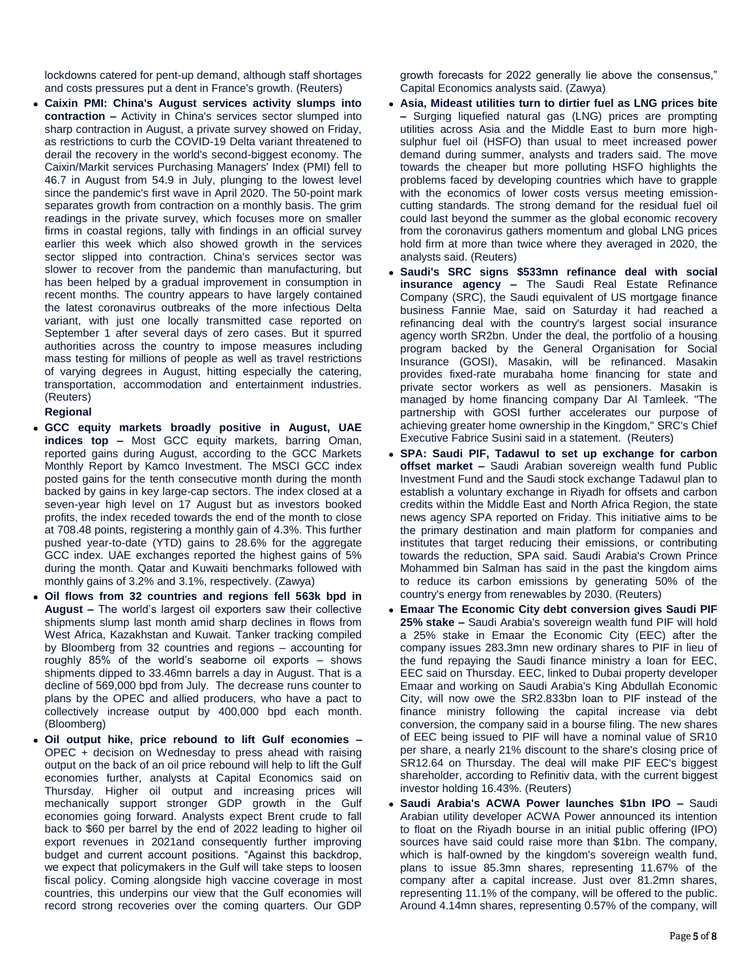lockdowns catered for pent-up demand, although staff shortages and costs pressures put a dent in France's growth. (Reuters)

 **Caixin PMI: China's August services activity slumps into contraction –** Activity in China's services sector slumped into sharp contraction in August, a private survey showed on Friday, as restrictions to curb the COVID-19 Delta variant threatened to derail the recovery in the world's second-biggest economy. The Caixin/Markit services Purchasing Managers' Index (PMI) fell to 46.7 in August from 54.9 in July, plunging to the lowest level since the pandemic's first wave in April 2020. The 50-point mark separates growth from contraction on a monthly basis. The grim readings in the private survey, which focuses more on smaller firms in coastal regions, tally with findings in an official survey earlier this week which also showed growth in the services sector slipped into contraction. China's services sector was slower to recover from the pandemic than manufacturing, but has been helped by a gradual improvement in consumption in recent months. The country appears to have largely contained the latest coronavirus outbreaks of the more infectious Delta variant, with just one locally transmitted case reported on September 1 after several days of zero cases. But it spurred authorities across the country to impose measures including mass testing for millions of people as well as travel restrictions of varying degrees in August, hitting especially the catering, transportation, accommodation and entertainment industries. (Reuters)

### **Regional**

- **GCC equity markets broadly positive in August, UAE indices top –** Most GCC equity markets, barring Oman, reported gains during August, according to the GCC Markets Monthly Report by Kamco Investment. The MSCI GCC index posted gains for the tenth consecutive month during the month backed by gains in key large-cap sectors. The index closed at a seven-year high level on 17 August but as investors booked profits, the index receded towards the end of the month to close at 708.48 points, registering a monthly gain of 4.3%. This further pushed year-to-date (YTD) gains to 28.6% for the aggregate GCC index. UAE exchanges reported the highest gains of 5% during the month. Qatar and Kuwaiti benchmarks followed with monthly gains of 3.2% and 3.1%, respectively. (Zawya)
- **Oil flows from 32 countries and regions fell 563k bpd in August –** The world's largest oil exporters saw their collective shipments slump last month amid sharp declines in flows from West Africa, Kazakhstan and Kuwait. Tanker tracking compiled by Bloomberg from 32 countries and regions – accounting for roughly 85% of the world's seaborne oil exports – shows shipments dipped to 33.46mn barrels a day in August. That is a decline of 569,000 bpd from July. The decrease runs counter to plans by the OPEC and allied producers, who have a pact to collectively increase output by 400,000 bpd each month. (Bloomberg)
- **Oil output hike, price rebound to lift Gulf economies –** OPEC + decision on Wednesday to press ahead with raising output on the back of an oil price rebound will help to lift the Gulf economies further, analysts at Capital Economics said on Thursday. Higher oil output and increasing prices will mechanically support stronger GDP growth in the Gulf economies going forward. Analysts expect Brent crude to fall back to \$60 per barrel by the end of 2022 leading to higher oil export revenues in 2021and consequently further improving budget and current account positions. "Against this backdrop, we expect that policymakers in the Gulf will take steps to loosen fiscal policy. Coming alongside high vaccine coverage in most countries, this underpins our view that the Gulf economies will record strong recoveries over the coming quarters. Our GDP

growth forecasts for 2022 generally lie above the consensus," Capital Economics analysts said. (Zawya)

- **Asia, Mideast utilities turn to dirtier fuel as LNG prices bite –** Surging liquefied natural gas (LNG) prices are prompting utilities across Asia and the Middle East to burn more highsulphur fuel oil (HSFO) than usual to meet increased power demand during summer, analysts and traders said. The move towards the cheaper but more polluting HSFO highlights the problems faced by developing countries which have to grapple with the economics of lower costs versus meeting emissioncutting standards. The strong demand for the residual fuel oil could last beyond the summer as the global economic recovery from the coronavirus gathers momentum and global LNG prices hold firm at more than twice where they averaged in 2020, the analysts said. (Reuters)
- **Saudi's SRC signs \$533mn refinance deal with social insurance agency –** The Saudi Real Estate Refinance Company (SRC), the Saudi equivalent of US mortgage finance business Fannie Mae, said on Saturday it had reached a refinancing deal with the country's largest social insurance agency worth SR2bn. Under the deal, the portfolio of a housing program backed by the General Organisation for Social Insurance (GOSI), Masakin, will be refinanced. Masakin provides fixed-rate murabaha home financing for state and private sector workers as well as pensioners. Masakin is managed by home financing company Dar Al Tamleek. "The partnership with GOSI further accelerates our purpose of achieving greater home ownership in the Kingdom," SRC's Chief Executive Fabrice Susini said in a statement. (Reuters)
- **SPA: Saudi PIF, Tadawul to set up exchange for carbon offset market –** Saudi Arabian sovereign wealth fund Public Investment Fund and the Saudi stock exchange Tadawul plan to establish a voluntary exchange in Riyadh for offsets and carbon credits within the Middle East and North Africa Region, the state news agency SPA reported on Friday. This initiative aims to be the primary destination and main platform for companies and institutes that target reducing their emissions, or contributing towards the reduction, SPA said. Saudi Arabia's Crown Prince Mohammed bin Salman has said in the past the kingdom aims to reduce its carbon emissions by generating 50% of the country's energy from renewables by 2030. (Reuters)
- **Emaar The Economic City debt conversion gives Saudi PIF 25% stake –** Saudi Arabia's sovereign wealth fund PIF will hold a 25% stake in Emaar the Economic City (EEC) after the company issues 283.3mn new ordinary shares to PIF in lieu of the fund repaying the Saudi finance ministry a loan for EEC, EEC said on Thursday. EEC, linked to Dubai property developer Emaar and working on Saudi Arabia's King Abdullah Economic City, will now owe the SR2.833bn loan to PIF instead of the finance ministry following the capital increase via debt conversion, the company said in a bourse filing. The new shares of EEC being issued to PIF will have a nominal value of SR10 per share, a nearly 21% discount to the share's closing price of SR12.64 on Thursday. The deal will make PIF EEC's biggest shareholder, according to Refinitiv data, with the current biggest investor holding 16.43%. (Reuters)
- **Saudi Arabia's ACWA Power launches \$1bn IPO –** Saudi Arabian utility developer ACWA Power announced its intention to float on the Riyadh bourse in an initial public offering (IPO) sources have said could raise more than \$1bn. The company, which is half-owned by the kingdom's sovereign wealth fund, plans to issue 85.3mn shares, representing 11.67% of the company after a capital increase. Just over 81.2mn shares, representing 11.1% of the company, will be offered to the public. Around 4.14mn shares, representing 0.57% of the company, will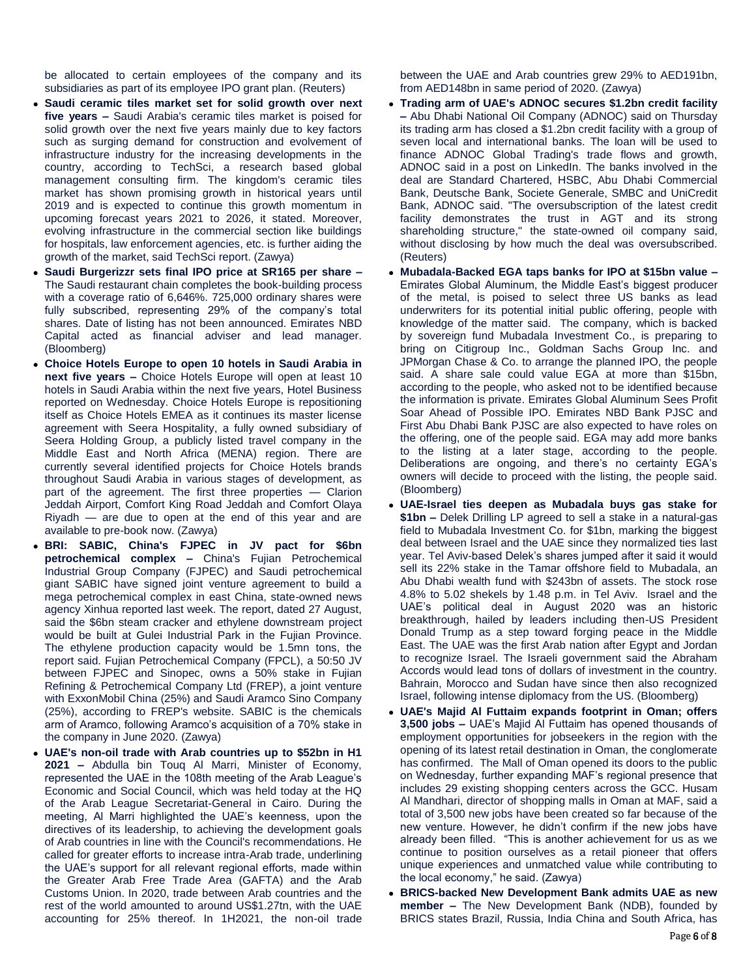be allocated to certain employees of the company and its subsidiaries as part of its employee IPO grant plan. (Reuters)

- **Saudi ceramic tiles market set for solid growth over next five years –** Saudi Arabia's ceramic tiles market is poised for solid growth over the next five years mainly due to key factors such as surging demand for construction and evolvement of infrastructure industry for the increasing developments in the country, according to TechSci, a research based global management consulting firm. The kingdom's ceramic tiles market has shown promising growth in historical years until 2019 and is expected to continue this growth momentum in upcoming forecast years 2021 to 2026, it stated. Moreover, evolving infrastructure in the commercial section like buildings for hospitals, law enforcement agencies, etc. is further aiding the growth of the market, said TechSci report. (Zawya)
- **Saudi Burgerizzr sets final IPO price at SR165 per share –** The Saudi restaurant chain completes the book-building process with a coverage ratio of 6,646%. 725,000 ordinary shares were fully subscribed, representing 29% of the company's total shares. Date of listing has not been announced. Emirates NBD Capital acted as financial adviser and lead manager. (Bloomberg)
- **Choice Hotels Europe to open 10 hotels in Saudi Arabia in next five years –** Choice Hotels Europe will open at least 10 hotels in Saudi Arabia within the next five years, Hotel Business reported on Wednesday. Choice Hotels Europe is repositioning itself as Choice Hotels EMEA as it continues its master license agreement with Seera Hospitality, a fully owned subsidiary of Seera Holding Group, a publicly listed travel company in the Middle East and North Africa (MENA) region. There are currently several identified projects for Choice Hotels brands throughout Saudi Arabia in various stages of development, as part of the agreement. The first three properties — Clarion Jeddah Airport, Comfort King Road Jeddah and Comfort Olaya Riyadh — are due to open at the end of this year and are available to pre-book now. (Zawya)
- **BRI: SABIC, China's FJPEC in JV pact for \$6bn petrochemical complex –** China's Fujian Petrochemical Industrial Group Company (FJPEC) and Saudi petrochemical giant SABIC have signed joint venture agreement to build a mega petrochemical complex in east China, state-owned news agency Xinhua reported last week. The report, dated 27 August, said the \$6bn steam cracker and ethylene downstream project would be built at Gulei Industrial Park in the Fujian Province. The ethylene production capacity would be 1.5mn tons, the report said. Fujian Petrochemical Company (FPCL), a 50:50 JV between FJPEC and Sinopec, owns a 50% stake in Fujian Refining & Petrochemical Company Ltd (FREP), a joint venture with ExxonMobil China (25%) and Saudi Aramco Sino Company (25%), according to FREP's website. SABIC is the chemicals arm of Aramco, following Aramco's acquisition of a 70% stake in the company in June 2020. (Zawya)
- **UAE's non-oil trade with Arab countries up to \$52bn in H1 2021 –** Abdulla bin Touq Al Marri, Minister of Economy, represented the UAE in the 108th meeting of the Arab League's Economic and Social Council, which was held today at the HQ of the Arab League Secretariat-General in Cairo. During the meeting, Al Marri highlighted the UAE's keenness, upon the directives of its leadership, to achieving the development goals of Arab countries in line with the Council's recommendations. He called for greater efforts to increase intra-Arab trade, underlining the UAE's support for all relevant regional efforts, made within the Greater Arab Free Trade Area (GAFTA) and the Arab Customs Union. In 2020, trade between Arab countries and the rest of the world amounted to around US\$1.27tn, with the UAE accounting for 25% thereof. In 1H2021, the non-oil trade

between the UAE and Arab countries grew 29% to AED191bn, from AED148bn in same period of 2020. (Zawya)

- **Trading arm of UAE's ADNOC secures \$1.2bn credit facility –** Abu Dhabi National Oil Company (ADNOC) said on Thursday its trading arm has closed a \$1.2bn credit facility with a group of seven local and international banks. The loan will be used to finance ADNOC Global Trading's trade flows and growth, ADNOC said in a post on LinkedIn. The banks involved in the deal are Standard Chartered, HSBC, Abu Dhabi Commercial Bank, Deutsche Bank, Societe Generale, SMBC and UniCredit Bank, ADNOC said. "The oversubscription of the latest credit facility demonstrates the trust in AGT and its strong shareholding structure," the state-owned oil company said, without disclosing by how much the deal was oversubscribed. (Reuters)
- **Mubadala-Backed EGA taps banks for IPO at \$15bn value –** Emirates Global Aluminum, the Middle East's biggest producer of the metal, is poised to select three US banks as lead underwriters for its potential initial public offering, people with knowledge of the matter said. The company, which is backed by sovereign fund Mubadala Investment Co., is preparing to bring on Citigroup Inc., Goldman Sachs Group Inc. and JPMorgan Chase & Co. to arrange the planned IPO, the people said. A share sale could value EGA at more than \$15bn, according to the people, who asked not to be identified because the information is private. Emirates Global Aluminum Sees Profit Soar Ahead of Possible IPO. Emirates NBD Bank PJSC and First Abu Dhabi Bank PJSC are also expected to have roles on the offering, one of the people said. EGA may add more banks to the listing at a later stage, according to the people. Deliberations are ongoing, and there's no certainty EGA's owners will decide to proceed with the listing, the people said. (Bloomberg)
- **UAE-Israel ties deepen as Mubadala buys gas stake for \$1bn –** Delek Drilling LP agreed to sell a stake in a natural-gas field to Mubadala Investment Co. for \$1bn, marking the biggest deal between Israel and the UAE since they normalized ties last year. Tel Aviv-based Delek's shares jumped after it said it would sell its 22% stake in the Tamar offshore field to Mubadala, an Abu Dhabi wealth fund with \$243bn of assets. The stock rose 4.8% to 5.02 shekels by 1.48 p.m. in Tel Aviv. Israel and the UAE's political deal in August 2020 was an historic breakthrough, hailed by leaders including then-US President Donald Trump as a step toward forging peace in the Middle East. The UAE was the first Arab nation after Egypt and Jordan to recognize Israel. The Israeli government said the Abraham Accords would lead tons of dollars of investment in the country. Bahrain, Morocco and Sudan have since then also recognized Israel, following intense diplomacy from the US. (Bloomberg)
- **UAE's Majid Al Futtaim expands footprint in Oman; offers 3,500 jobs –** UAE's Majid Al Futtaim has opened thousands of employment opportunities for jobseekers in the region with the opening of its latest retail destination in Oman, the conglomerate has confirmed. The Mall of Oman opened its doors to the public on Wednesday, further expanding MAF's regional presence that includes 29 existing shopping centers across the GCC. Husam Al Mandhari, director of shopping malls in Oman at MAF, said a total of 3,500 new jobs have been created so far because of the new venture. However, he didn't confirm if the new jobs have already been filled. "This is another achievement for us as we continue to position ourselves as a retail pioneer that offers unique experiences and unmatched value while contributing to the local economy," he said. (Zawya)
- **BRICS-backed New Development Bank admits UAE as new member –** The New Development Bank (NDB), founded by BRICS states Brazil, Russia, India China and South Africa, has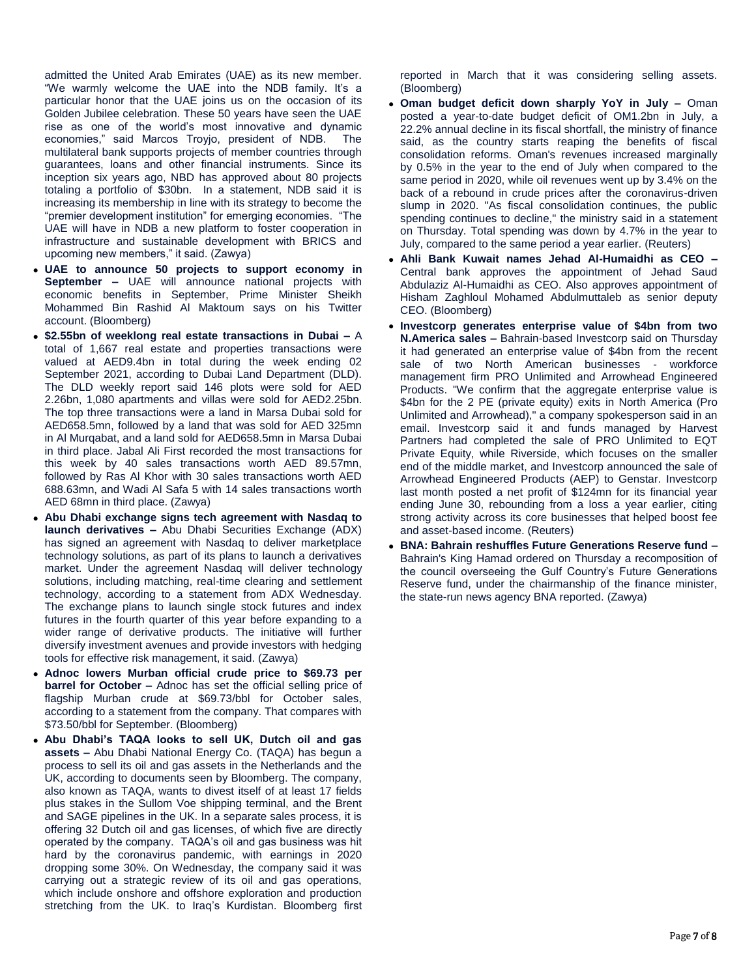admitted the United Arab Emirates (UAE) as its new member. "We warmly welcome the UAE into the NDB family. It's a particular honor that the UAE joins us on the occasion of its Golden Jubilee celebration. These 50 years have seen the UAE rise as one of the world's most innovative and dynamic economies," said Marcos Troyjo, president of NDB. The multilateral bank supports projects of member countries through guarantees, loans and other financial instruments. Since its inception six years ago, NBD has approved about 80 projects totaling a portfolio of \$30bn. In a statement, NDB said it is increasing its membership in line with its strategy to become the "premier development institution" for emerging economies. "The UAE will have in NDB a new platform to foster cooperation in infrastructure and sustainable development with BRICS and upcoming new members," it said. (Zawya)

- **UAE to announce 50 projects to support economy in September –** UAE will announce national projects with economic benefits in September, Prime Minister Sheikh Mohammed Bin Rashid Al Maktoum says on his Twitter account. (Bloomberg)
- **\$2.55bn of weeklong real estate transactions in Dubai –** A total of 1,667 real estate and properties transactions were valued at AED9.4bn in total during the week ending 02 September 2021, according to Dubai Land Department (DLD). The DLD weekly report said 146 plots were sold for AED 2.26bn, 1,080 apartments and villas were sold for AED2.25bn. The top three transactions were a land in Marsa Dubai sold for AED658.5mn, followed by a land that was sold for AED 325mn in Al Murqabat, and a land sold for AED658.5mn in Marsa Dubai in third place. Jabal Ali First recorded the most transactions for this week by 40 sales transactions worth AED 89.57mn, followed by Ras Al Khor with 30 sales transactions worth AED 688.63mn, and Wadi Al Safa 5 with 14 sales transactions worth AED 68mn in third place. (Zawya)
- **Abu Dhabi exchange signs tech agreement with Nasdaq to launch derivatives –** Abu Dhabi Securities Exchange (ADX) has signed an agreement with Nasdaq to deliver marketplace technology solutions, as part of its plans to launch a derivatives market. Under the agreement Nasdaq will deliver technology solutions, including matching, real-time clearing and settlement technology, according to a statement from ADX Wednesday. The exchange plans to launch single stock futures and index futures in the fourth quarter of this year before expanding to a wider range of derivative products. The initiative will further diversify investment avenues and provide investors with hedging tools for effective risk management, it said. (Zawya)
- **Adnoc lowers Murban official crude price to \$69.73 per barrel for October –** Adnoc has set the official selling price of flagship Murban crude at \$69.73/bbl for October sales, according to a statement from the company. That compares with \$73.50/bbl for September. (Bloomberg)
- **Abu Dhabi's TAQA looks to sell UK, Dutch oil and gas assets –** Abu Dhabi National Energy Co. (TAQA) has begun a process to sell its oil and gas assets in the Netherlands and the UK, according to documents seen by Bloomberg. The company, also known as TAQA, wants to divest itself of at least 17 fields plus stakes in the Sullom Voe shipping terminal, and the Brent and SAGE pipelines in the UK. In a separate sales process, it is offering 32 Dutch oil and gas licenses, of which five are directly operated by the company. TAQA's oil and gas business was hit hard by the coronavirus pandemic, with earnings in 2020 dropping some 30%. On Wednesday, the company said it was carrying out a strategic review of its oil and gas operations, which include onshore and offshore exploration and production stretching from the UK. to Iraq's Kurdistan. Bloomberg first

reported in March that it was considering selling assets. (Bloomberg)

- **Oman budget deficit down sharply YoY in July –** Oman posted a year-to-date budget deficit of OM1.2bn in July, a 22.2% annual decline in its fiscal shortfall, the ministry of finance said, as the country starts reaping the benefits of fiscal consolidation reforms. Oman's revenues increased marginally by 0.5% in the year to the end of July when compared to the same period in 2020, while oil revenues went up by 3.4% on the back of a rebound in crude prices after the coronavirus-driven slump in 2020. "As fiscal consolidation continues, the public spending continues to decline," the ministry said in a statement on Thursday. Total spending was down by 4.7% in the year to July, compared to the same period a year earlier. (Reuters)
- **Ahli Bank Kuwait names Jehad Al-Humaidhi as CEO –** Central bank approves the appointment of Jehad Saud Abdulaziz Al-Humaidhi as CEO. Also approves appointment of Hisham Zaghloul Mohamed Abdulmuttaleb as senior deputy CEO. (Bloomberg)
- **Investcorp generates enterprise value of \$4bn from two N.America sales –** Bahrain-based Investcorp said on Thursday it had generated an enterprise value of \$4bn from the recent sale of two North American businesses - workforce management firm PRO Unlimited and Arrowhead Engineered Products. "We confirm that the aggregate enterprise value is \$4bn for the 2 PE (private equity) exits in North America (Pro Unlimited and Arrowhead)," a company spokesperson said in an email. Investcorp said it and funds managed by Harvest Partners had completed the sale of PRO Unlimited to EQT Private Equity, while Riverside, which focuses on the smaller end of the middle market, and Investcorp announced the sale of Arrowhead Engineered Products (AEP) to Genstar. Investcorp last month posted a net profit of \$124mn for its financial year ending June 30, rebounding from a loss a year earlier, citing strong activity across its core businesses that helped boost fee and asset-based income. (Reuters)
- **BNA: Bahrain reshuffles Future Generations Reserve fund –** Bahrain's King Hamad ordered on Thursday a recomposition of the council overseeing the Gulf Country's Future Generations Reserve fund, under the chairmanship of the finance minister, the state-run news agency BNA reported. (Zawya)